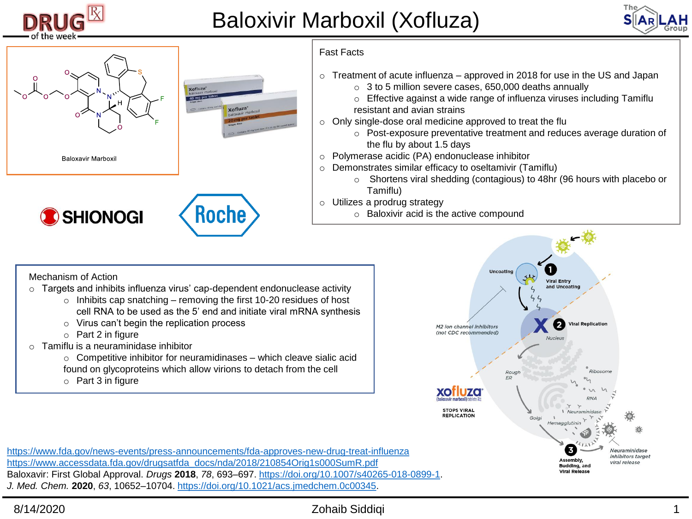

## Baloxivir Marboxil (Xofluza)





## Fast Facts

- $\circ$  Treatment of acute influenza approved in 2018 for use in the US and Japan
	- o 3 to 5 million severe cases, 650,000 deaths annually
	- o Effective against a wide range of influenza viruses including Tamiflu resistant and avian strains
- o Only single-dose oral medicine approved to treat the flu
	- o Post-exposure preventative treatment and reduces average duration of the flu by about 1.5 days
- o Polymerase acidic (PA) endonuclease inhibitor
- o Demonstrates similar efficacy to oseltamivir (Tamiflu)
	- o Shortens viral shedding (contagious) to 48hr (96 hours with placebo or Tamiflu)
- o Utilizes a prodrug strategy
	- o Baloxivir acid is the active compound

Mechanism of Action

- o Targets and inhibits influenza virus' cap-dependent endonuclease activity
	- $\circ$  Inhibits cap snatching removing the first 10-20 residues of host cell RNA to be used as the 5' end and initiate viral mRNA synthesis
	- o Virus can't begin the replication process
	- o Part 2 in figure
- $\circ$  Tamiflu is a neuraminidase inhibitor
	- $\circ$  Competitive inhibitor for neuramidinases which cleave sialic acid found on glycoproteins which allow virions to detach from the cell
	- o Part 3 in figure



<https://www.fda.gov/news-events/press-announcements/fda-approves-new-drug-treat-influenza> [https://www.accessdata.fda.gov/drugsatfda\\_docs/nda/2018/210854Orig1s000SumR.pdf](https://www.accessdata.fda.gov/drugsatfda_docs/nda/2018/210854Orig1s000SumR.pdf) Baloxavir: First Global Approval. *Drugs* **2018**, *78*, 693–697. [https://doi.org/10.1007/s40265-018-0899-1.](https://doi.org/10.1007/s40265-018-0899-1) *J. Med. Chem.* **2020**, *63*, 10652–10704. [https://doi.org/10.1021/acs.jmedchem.0c00345.](https://doi.org/10.1021/acs.jmedchem.0c00345)

## 8/14/2020 Zohaib Siddiqi 1